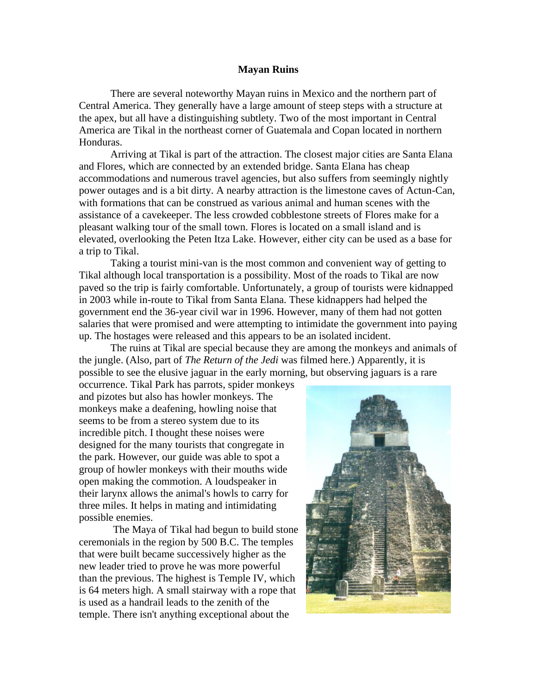## **Mayan Ruins**

There are several noteworthy Mayan ruins in Mexico and the northern part of Central America. They generally have a large amount of steep steps with a structure at the apex, but all have a distinguishing subtlety. Two of the most important in Central America are Tikal in the northeast corner of Guatemala and Copan located in northern Honduras.

Arriving at Tikal is part of the attraction. The closest major cities are Santa Elana and Flores, which are connected by an extended bridge. Santa Elana has cheap accommodations and numerous travel agencies, but also suffers from seemingly nightly power outages and is a bit dirty. A nearby attraction is the limestone caves of Actun-Can, with formations that can be construed as various animal and human scenes with the assistance of a cavekeeper. The less crowded cobblestone streets of Flores make for a pleasant walking tour of the small town. Flores is located on a small island and is elevated, overlooking the Peten Itza Lake. However, either city can be used as a base for a trip to Tikal.

Taking a tourist mini-van is the most common and convenient way of getting to Tikal although local transportation is a possibility. Most of the roads to Tikal are now paved so the trip is fairly comfortable. Unfortunately, a group of tourists were kidnapped in 2003 while in-route to Tikal from Santa Elana. These kidnappers had helped the government end the 36-year civil war in 1996. However, many of them had not gotten salaries that were promised and were attempting to intimidate the government into paying up. The hostages were released and this appears to be an isolated incident.

The ruins at Tikal are special because they are among the monkeys and animals of the jungle. (Also, part of *The Return of the Jedi* was filmed here.) Apparently, it is possible to see the elusive jaguar in the early morning, but observing jaguars is a rare

occurrence. Tikal Park has parrots, spider monkeys and pizotes but also has howler monkeys. The monkeys make a deafening, howling noise that seems to be from a stereo system due to its incredible pitch. I thought these noises were designed for the many tourists that congregate in the park. However, our guide was able to spot a group of howler monkeys with their mouths wide open making the commotion. A loudspeaker in their larynx allows the animal's howls to carry for three miles. It helps in mating and intimidating possible enemies.

The Maya of Tikal had begun to build stone ceremonials in the region by 500 B.C. The temples that were built became successively higher as the new leader tried to prove he was more powerful than the previous. The highest is Temple IV, which is 64 meters high. A small stairway with a rope that is used as a handrail leads to the zenith of the temple. There isn't anything exceptional about the

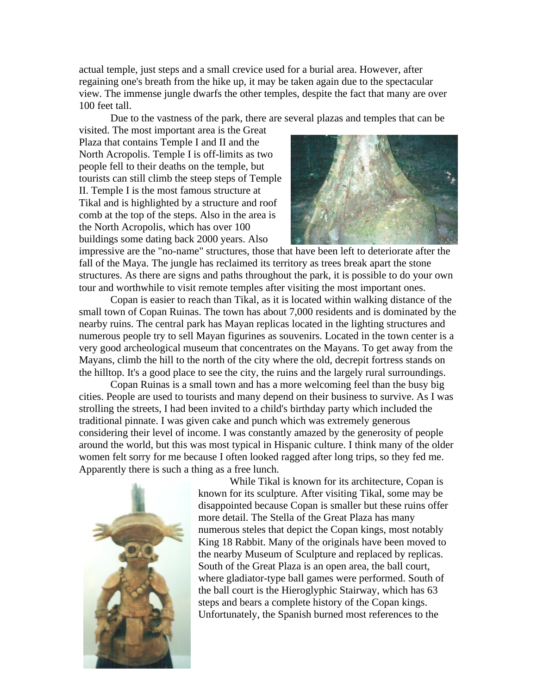actual temple, just steps and a small crevice used for a burial area. However, after regaining one's breath from the hike up, it may be taken again due to the spectacular view. The immense jungle dwarfs the other temples, despite the fact that many are over 100 feet tall.

Due to the vastness of the park, there are several plazas and temples that can be

visited. The most important area is the Great Plaza that contains Temple I and II and the North Acropolis. Temple I is off-limits as two people fell to their deaths on the temple, but tourists can still climb the steep steps of Temple II. Temple I is the most famous structure at Tikal and is highlighted by a structure and roof comb at the top of the steps. Also in the area is the North Acropolis, which has over 100 buildings some dating back 2000 years. Also



impressive are the "no-name" structures, those that have been left to deteriorate after the fall of the Maya. The jungle has reclaimed its territory as trees break apart the stone structures. As there are signs and paths throughout the park, it is possible to do your own tour and worthwhile to visit remote temples after visiting the most important ones.

Copan is easier to reach than Tikal, as it is located within walking distance of the small town of Copan Ruinas. The town has about 7,000 residents and is dominated by the nearby ruins. The central park has Mayan replicas located in the lighting structures and numerous people try to sell Mayan figurines as souvenirs. Located in the town center is a very good archeological museum that concentrates on the Mayans. To get away from the Mayans, climb the hill to the north of the city where the old, decrepit fortress stands on the hilltop. It's a good place to see the city, the ruins and the largely rural surroundings.

Copan Ruinas is a small town and has a more welcoming feel than the busy big cities. People are used to tourists and many depend on their business to survive. As I was strolling the streets, I had been invited to a child's birthday party which included the traditional pinnate. I was given cake and punch which was extremely generous considering their level of income. I was constantly amazed by the generosity of people around the world, but this was most typical in Hispanic culture. I think many of the older women felt sorry for me because I often looked ragged after long trips, so they fed me. Apparently there is such a thing as a free lunch.



While Tikal is known for its architecture, Copan is known for its sculpture. After visiting Tikal, some may be disappointed because Copan is smaller but these ruins offer more detail. The Stella of the Great Plaza has many numerous steles that depict the Copan kings, most notably King 18 Rabbit. Many of the originals have been moved to the nearby Museum of Sculpture and replaced by replicas. South of the Great Plaza is an open area, the ball court, where gladiator-type ball games were performed. South of the ball court is the Hieroglyphic Stairway, which has 63 steps and bears a complete history of the Copan kings. Unfortunately, the Spanish burned most references to the